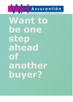

**Want to be one step ahead of another buyer?**

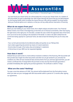# Assurantiën Hypotheken • Verzekeringen • Pensioenen

You have found your dream home, but unfortunately this is not just your dream home. As a relation of WH Assurantiën you get an advantage over other buyers because we ensure that you are well prepared for the housing market, which increases the chance that your offer will be accepted! You know exactly what your financial options are in advance, so that you can buy safely without reservation of financing.

#### **What do we expect from you?**

Before you start bidding on your dream home, the in-depth analysis and advice starts. Your Financial Advisor invests a lot of time in the beginning so that there are no financial uncertainties, other than buying the right home at the right price. For the latter, consider the case in which the appraised value of the home turns out to be too low according to the standards of the lender. In order to be able to determine the current borrowing capacity for a particular home, we need at least the following from you for every new home:

- Your current personal data (to be delivered safely and quickly via our FileCap link).
- Up-to-date supporting documents by means of a bank statement.
- Income data through a final salary slip and employer's statement.
- A full printout of your BKR (can be requested digitally).

#### **How does it work?**

Indicate that you want to bid on a home without resolutive conditions of the financing. WH Assurantiën will then provide clear insight into which documents and when we can get started for you and what the conditions are. After we have received all data and documents from you and have approved them, you will receive a certificate free of charge before the purchase as extra security that the bank guarantee is provided immediately after signing the purchase agreement. The certificate is valid for 14 days

### **What are the costs? Nothing!**

You pay a one-time advance of  $\epsilon$  500. This amount will be deducted from the final advice invoice when you take out your mortgage with WH Assurantiën within a period of 12 months after signing our agreement.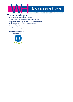

## **The advantages**

- Buy safely without reservation financing
- Issue certificate for the purchase as extra security
- Being able to make a good offer on your dream home
- Monthly payment calculation for your home
- 12 months of guidance
- Advantage over competitor buyers

Our advisor is assessed on average with a